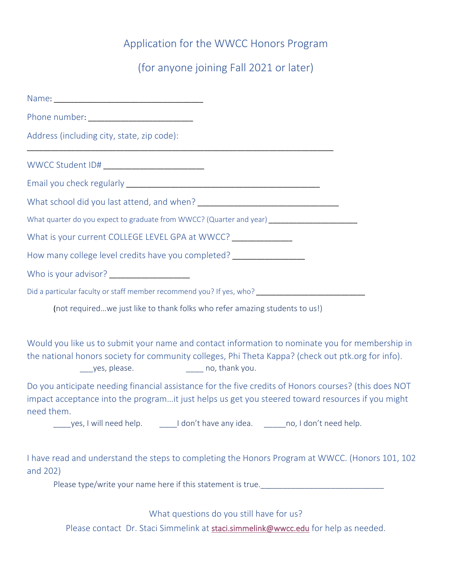# Application for the WWCC Honors Program

(for anyone joining Fall 2021 or later)

| Phone number: ____________________________                                                                                                                                                                                                                      |
|-----------------------------------------------------------------------------------------------------------------------------------------------------------------------------------------------------------------------------------------------------------------|
| Address (including city, state, zip code):                                                                                                                                                                                                                      |
|                                                                                                                                                                                                                                                                 |
|                                                                                                                                                                                                                                                                 |
|                                                                                                                                                                                                                                                                 |
| What quarter do you expect to graduate from WWCC? (Quarter and year) _______________________________                                                                                                                                                            |
| What is your current COLLEGE LEVEL GPA at WWCC? ______________                                                                                                                                                                                                  |
| How many college level credits have you completed? _____________________                                                                                                                                                                                        |
| Who is your advisor? ____________________                                                                                                                                                                                                                       |
| Did a particular faculty or staff member recommend you? If yes, who? ______________________________                                                                                                                                                             |
| (not requiredwe just like to thank folks who refer amazing students to us!)                                                                                                                                                                                     |
| Would you like us to submit your name and contact information to nominate you for membership in<br>the national honors society for community colleges, Phi Theta Kappa? (check out ptk.org for info).<br>yes, please. The same property counterpart of the you. |
| Do you anticipate needing financial assistance for the five credits of Honors courses? (this does NOT<br>impact acceptance into the programit just helps us get you steered toward resources if you might<br>need them.                                         |
| yes, I will need help. I don't have any idea. The no, I don't need help.                                                                                                                                                                                        |
| I have read and understand the steps to completing the Honors Program at WWCC. (Honors 101, 102<br>and 202)                                                                                                                                                     |
| Please type/write your name here if this statement is true.                                                                                                                                                                                                     |

What questions do you still have for us?

Please contact Dr. Staci Simmelink at staci.simmelink@wwcc.edu for help as needed.